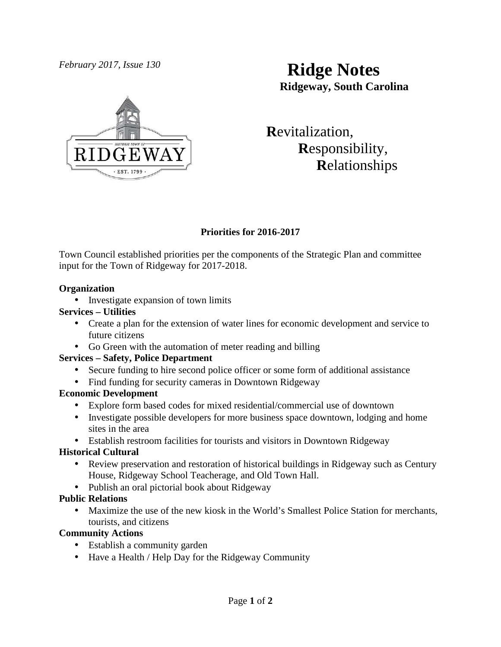

# *February 2017, Issue 130* **Ridge Notes Ridgeway, South Carolina**

 **R**evitalization,  **R**esponsibility,  **R**elationships

# **Priorities for 2016-2017**

Town Council established priorities per the components of the Strategic Plan and committee input for the Town of Ridgeway for 2017-2018.

#### **Organization**

• Investigate expansion of town limits

# **Services – Utilities**

- Create a plan for the extension of water lines for economic development and service to future citizens
- Go Green with the automation of meter reading and billing

# **Services – Safety, Police Department**

- Secure funding to hire second police officer or some form of additional assistance
- Find funding for security cameras in Downtown Ridgeway

# **Economic Development**

- Explore form based codes for mixed residential/commercial use of downtown
- Investigate possible developers for more business space downtown, lodging and home sites in the area
- Establish restroom facilities for tourists and visitors in Downtown Ridgeway

# **Historical Cultural**

- Review preservation and restoration of historical buildings in Ridgeway such as Century House, Ridgeway School Teacherage, and Old Town Hall.
- Publish an oral pictorial book about Ridgeway

# **Public Relations**

• Maximize the use of the new kiosk in the World's Smallest Police Station for merchants, tourists, and citizens

# **Community Actions**

- Establish a community garden
- Have a Health / Help Day for the Ridgeway Community